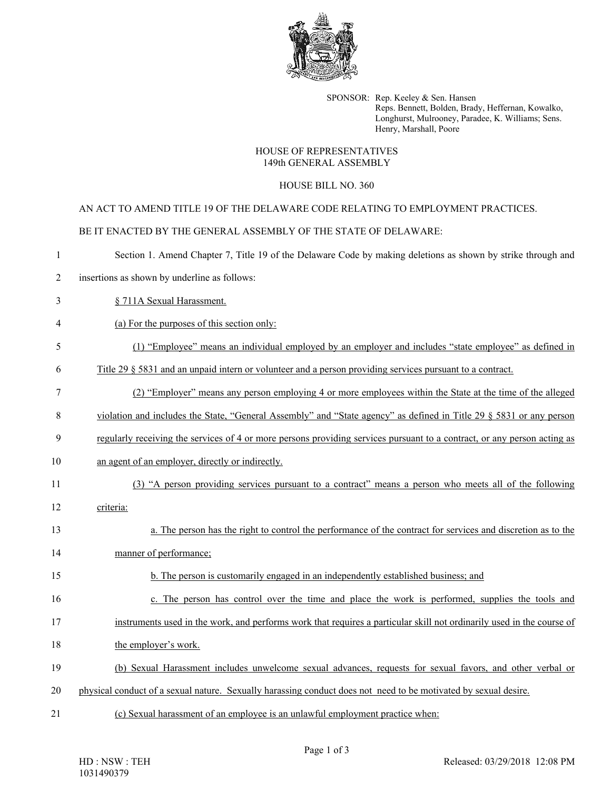

SPONSOR: Rep. Keeley & Sen. Hansen Reps. Bennett, Bolden, Brady, Heffernan, Kowalko, Longhurst, Mulrooney, Paradee, K. Williams; Sens. Henry, Marshall, Poore

## HOUSE OF REPRESENTATIVES 149th GENERAL ASSEMBLY

## HOUSE BILL NO. 360

AN ACT TO AMEND TITLE 19 OF THE DELAWARE CODE RELATING TO EMPLOYMENT PRACTICES.

BE IT ENACTED BY THE GENERAL ASSEMBLY OF THE STATE OF DELAWARE:

| -1             | Section 1. Amend Chapter 7, Title 19 of the Delaware Code by making deletions as shown by strike through and             |
|----------------|--------------------------------------------------------------------------------------------------------------------------|
| $\overline{2}$ | insertions as shown by underline as follows:                                                                             |
| 3              | § 711A Sexual Harassment.                                                                                                |
| 4              | (a) For the purposes of this section only:                                                                               |
| 5              | (1) "Employee" means an individual employed by an employer and includes "state employee" as defined in                   |
| 6              | Title 29 § 5831 and an unpaid intern or volunteer and a person providing services pursuant to a contract.                |
| 7              | (2) "Employer" means any person employing 4 or more employees within the State at the time of the alleged                |
| 8              | violation and includes the State, "General Assembly" and "State agency" as defined in Title 29 § 5831 or any person      |
| 9              | regularly receiving the services of 4 or more persons providing services pursuant to a contract, or any person acting as |
| 10             | an agent of an employer, directly or indirectly.                                                                         |
| 11             | (3) "A person providing services pursuant to a contract" means a person who meets all of the following                   |
| 12             | criteria:                                                                                                                |
| 13             | a. The person has the right to control the performance of the contract for services and discretion as to the             |
| 14             | manner of performance;                                                                                                   |
| 15             | b. The person is customarily engaged in an independently established business; and                                       |
| 16             | c. The person has control over the time and place the work is performed, supplies the tools and                          |
| 17             | instruments used in the work, and performs work that requires a particular skill not ordinarily used in the course of    |
| 18             | the employer's work.                                                                                                     |
| 19             | (b) Sexual Harassment includes unwelcome sexual advances, requests for sexual favors, and other verbal or                |
| 20             | physical conduct of a sexual nature. Sexually harassing conduct does not need to be motivated by sexual desire.          |
| 21             | (c) Sexual harassment of an employee is an unlawful employment practice when:                                            |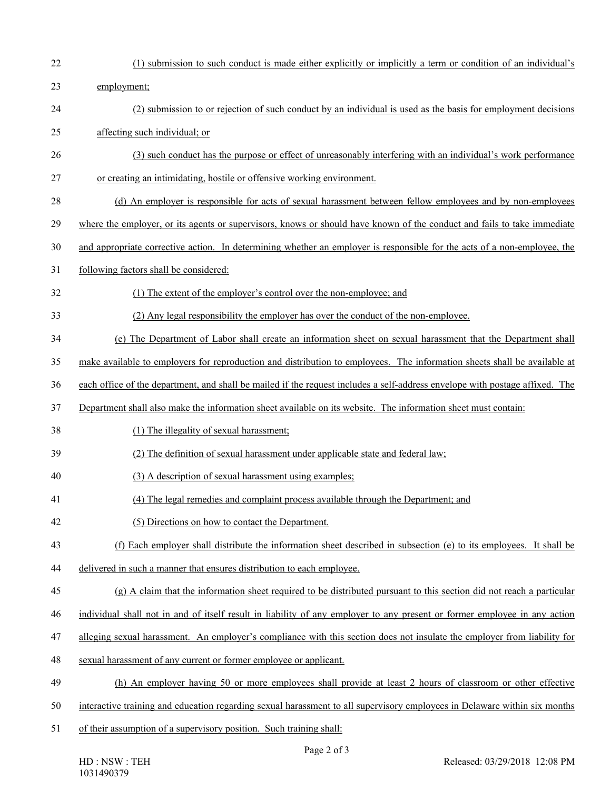22 (1) submission to such conduct is made either explicitly or implicitly a term or condition of an individual's 23 employment; 24 (2) submission to or rejection of such conduct by an individual is used as the basis for employment decisions 25 affecting such individual; or 26 (3) such conduct has the purpose or effect of unreasonably interfering with an individual's work performance 27 or creating an intimidating, hostile or offensive working environment. 28 (d) An employer is responsible for acts of sexual harassment between fellow employees and by non-employees 29 where the employer, or its agents or supervisors, knows or should have known of the conduct and fails to take immediate 30 and appropriate corrective action. In determining whether an employer is responsible for the acts of a non-employee, the 31 following factors shall be considered: 32 (1) The extent of the employer's control over the non-employee; and 33 (2) Any legal responsibility the employer has over the conduct of the non-employee. 34 (e) The Department of Labor shall create an information sheet on sexual harassment that the Department shall 35 make available to employers for reproduction and distribution to employees. The information sheets shall be available at 36 each office of the department, and shall be mailed if the request includes a self-address envelope with postage affixed. The 37 Department shall also make the information sheet available on its website. The information sheet must contain: 38 (1) The illegality of sexual harassment; 39 (2) The definition of sexual harassment under applicable state and federal law; 40 (3) A description of sexual harassment using examples; 41 (4) The legal remedies and complaint process available through the Department; and 42 (5) Directions on how to contact the Department. 43 (f) Each employer shall distribute the information sheet described in subsection (e) to its employees. It shall be 44 delivered in such a manner that ensures distribution to each employee. 45 (g) A claim that the information sheet required to be distributed pursuant to this section did not reach a particular 46 individual shall not in and of itself result in liability of any employer to any present or former employee in any action 47 alleging sexual harassment. An employer's compliance with this section does not insulate the employer from liability for 48 sexual harassment of any current or former employee or applicant. 49 (h) An employer having 50 or more employees shall provide at least 2 hours of classroom or other effective 50 interactive training and education regarding sexual harassment to all supervisory employees in Delaware within six months 51 of their assumption of a supervisory position. Such training shall: